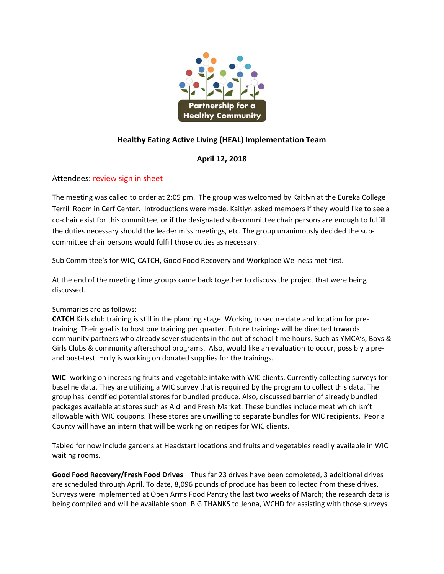

# **Healthy Eating Active Living (HEAL) Implementation Team**

## **April 12, 2018**

### Attendees: review sign in sheet

The meeting was called to order at 2:05 pm. The group was welcomed by Kaitlyn at the Eureka College Terrill Room in Cerf Center. Introductions were made. Kaitlyn asked members if they would like to see a co-chair exist for this committee, or if the designated sub-committee chair persons are enough to fulfill the duties necessary should the leader miss meetings, etc. The group unanimously decided the sub‐ committee chair persons would fulfill those duties as necessary.

Sub Committee's for WIC, CATCH, Good Food Recovery and Workplace Wellness met first.

At the end of the meeting time groups came back together to discuss the project that were being discussed.

### Summaries are as follows:

**CATCH** Kids club training is still in the planning stage. Working to secure date and location for pre‐ training. Their goal is to host one training per quarter. Future trainings will be directed towards community partners who already sever students in the out of school time hours. Such as YMCA's, Boys & Girls Clubs & community afterschool programs. Also, would like an evaluation to occur, possibly a pre‐ and post-test. Holly is working on donated supplies for the trainings.

**WIC**‐ working on increasing fruits and vegetable intake with WIC clients. Currently collecting surveys for baseline data. They are utilizing a WIC survey that is required by the program to collect this data. The group has identified potential stores for bundled produce. Also, discussed barrier of already bundled packages available at stores such as Aldi and Fresh Market. These bundles include meat which isn't allowable with WIC coupons. These stores are unwilling to separate bundles for WIC recipients. Peoria County will have an intern that will be working on recipes for WIC clients.

Tabled for now include gardens at Headstart locations and fruits and vegetables readily available in WIC waiting rooms.

**Good Food Recovery/Fresh Food Drives** – Thus far 23 drives have been completed, 3 additional drives are scheduled through April. To date, 8,096 pounds of produce has been collected from these drives. Surveys were implemented at Open Arms Food Pantry the last two weeks of March; the research data is being compiled and will be available soon. BIG THANKS to Jenna, WCHD for assisting with those surveys.